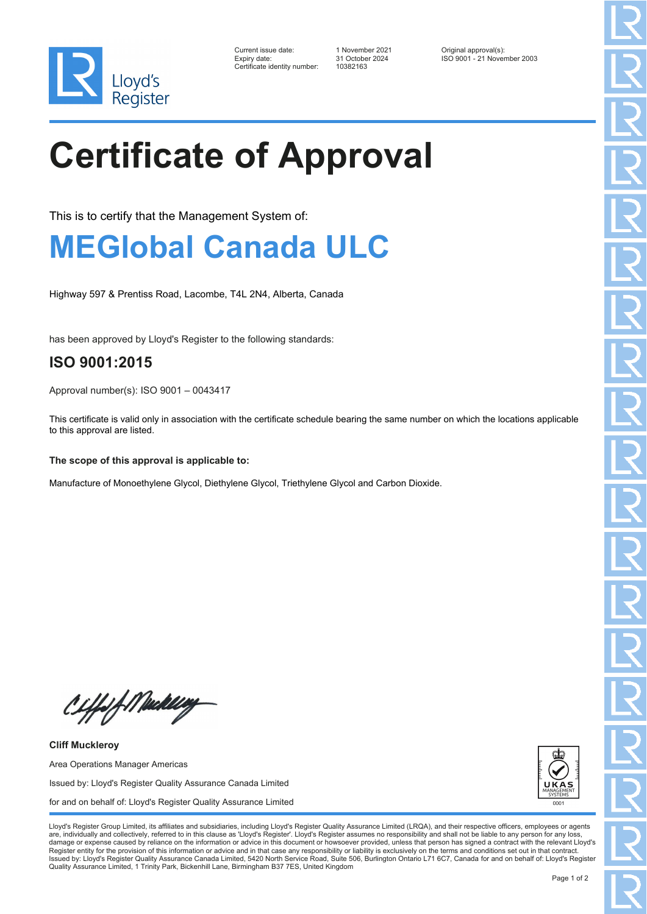

| Current issue date:         |
|-----------------------------|
| Expiry date:                |
| Certificate identity number |

Certificate identity number: 10382163

Current issue date: 1 November 2021 Original approval(s): Expiry date: 31 October 2024 ISO 9001 - 21 November 2003

## **Certificate of Approval**

This is to certify that the Management System of:

## **MEGlobal Canada ULC**

Highway 597 & Prentiss Road, Lacombe, T4L 2N4, Alberta, Canada

has been approved by Lloyd's Register to the following standards:

## **ISO 9001:2015**

Approval number(s): ISO 9001 – 0043417

This certificate is valid only in association with the certificate schedule bearing the same number on which the locations applicable to this approval are listed.

**The scope of this approval is applicable to:**

Manufacture of Monoethylene Glycol, Diethylene Glycol, Triethylene Glycol and Carbon Dioxide.

Ciffof Mukling

**Cliff Muckleroy** Area Operations Manager Americas Issued by: Lloyd's Register Quality Assurance Canada Limited for and on behalf of: Lloyd's Register Quality Assurance Limited



Lloyd's Register Group Limited, its affiliates and subsidiaries, including Lloyd's Register Quality Assurance Limited (LRQA), and their respective officers, employees or agents are, individually and collectively, referred to in this clause as 'Lloyd's Register'. Lloyd's Register assumes no responsibility and shall not be liable to any person for any los damage or expense caused by reliance on the information or advice in this document or howsoever provided, unless that person has signed a contract with the relevant Lloyd's<br>Register entity for the provision of this informa Issued by: Lloyd's Register Quality Assurance Canada Limited, 5420 North Service Road, Suite 506, Burlington Ontario L71 6C7, Canada for and on behalf of: Lloyd's Register Quality Assurance Limited, 1 Trinity Park, Bickenhill Lane, Birmingham B37 7ES, United Kingdom